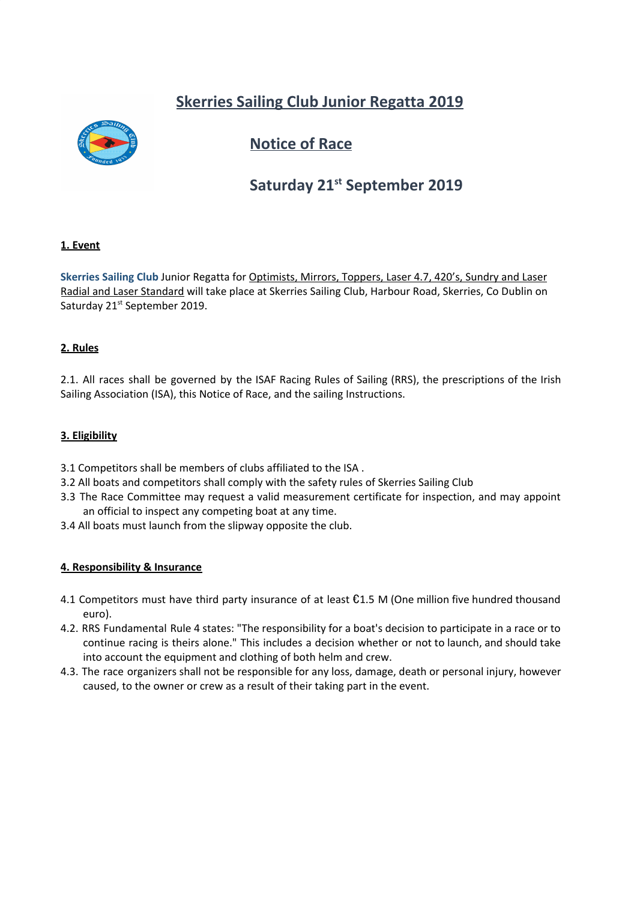## **Skerries Sailing Club Junior Regatta 2019**



## **Notice of Race**

# **Saturday 21<sup>st</sup> September 2019**

## **1. Event**

**Skerries Sailing Club** Junior Regatta for Optimists, Mirrors, Toppers, Laser 4.7, 420's, Sundry and Laser Radial and Laser Standard will take place at Skerries Sailing Club, Harbour Road, Skerries, Co Dublin on Saturday 21<sup>st</sup> September 2019.

## **2. Rules**

2.1. All races shall be governed by the ISAF Racing Rules of Sailing (RRS), the prescriptions of the Irish Sailing Association (ISA), this Notice of Race, and the sailing Instructions.

## **3. Eligibility**

- 3.1 Competitors shall be members of clubs affiliated to the ISA .
- 3.2 All boats and competitors shall comply with the safety rules of Skerries Sailing Club
- 3.3 The Race Committee may request a valid measurement certificate for inspection, and may appoint an official to inspect any competing boat at any time.
- 3.4 All boats must launch from the slipway opposite the club.

#### **4. Responsibility & Insurance**

- 4.1 Competitors must have third party insurance of at least  $\epsilon$ 1.5 M (One million five hundred thousand euro).
- 4.2. RRS Fundamental Rule 4 states: "The responsibility for a boat's decision to participate in a race or to continue racing is theirs alone." This includes a decision whether or not to launch, and should take into account the equipment and clothing of both helm and crew.
- 4.3. The race organizers shall not be responsible for any loss, damage, death or personal injury, however caused, to the owner or crew as a result of their taking part in the event.